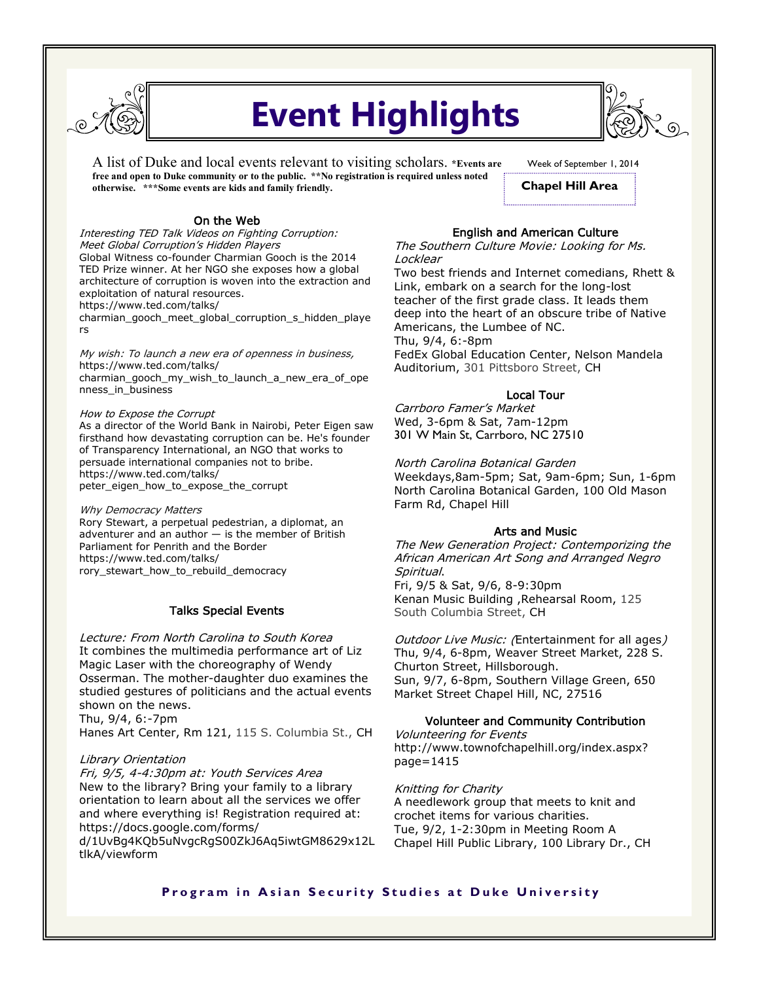

# **Event Highlights**

A list of Duke and local events relevant to visiting scholars. **\*Events are free and open to Duke community or to the public. \*\*No registration is required unless noted otherwise. \*\*\*Some events are kids and family friendly.** 

Week of September 1, 2014 **Chapel Hill Area**

### On the Web

Interesting TED Talk Videos on Fighting Corruption: Meet Global Corruption's Hidden Players Global Witness co-founder Charmian Gooch is the 2014 TED Prize winner. At her NGO she exposes how a global architecture of corruption is woven into the extraction and exploitation of natural resources. https://www.ted.com/talks/

charmian\_gooch\_meet\_global\_corruption\_s\_hidden\_playe rs

My wish: To launch a new era of openness in business, https://www.ted.com/talks/ charmian\_gooch\_my\_wish\_to\_launch\_a\_new\_era\_of\_ope nness\_in\_business

#### How to Expose the Corrupt

As a director of the World Bank in Nairobi, Peter Eigen saw firsthand how devastating corruption can be. He's founder of Transparency International, an NGO that works to persuade international companies not to bribe. https://www.ted.com/talks/ peter\_eigen\_how\_to\_expose\_the\_corrupt

Why Democracy Matters

Rory Stewart, a perpetual pedestrian, a diplomat, an adventurer and an author — is the member of British Parliament for Penrith and the Border https://www.ted.com/talks/ rory\_stewart\_how\_to\_rebuild\_democracy

## Talks Special Events

Lecture: From North Carolina to South Korea It combines the multimedia performance art of Liz Magic Laser with the choreography of Wendy Osserman. The mother-daughter duo examines the studied gestures of politicians and the actual events shown on the news. Thu, 9/4, 6:-7pm

Hanes Art Center, Rm 121, 115 S. Columbia St., CH

## Library Orientation

Fri, 9/5, 4-4:30pm at: Youth Services Area New to the library? Bring your family to a library orientation to learn about all the services we offer and where everything is! Registration required at: https://docs.google.com/forms/

d/1UvBg4KQb5uNvgcRgS00ZkJ6Aq5iwtGM8629x12L tlkA/viewform

## English and American Culture

The Southern Culture Movie: Looking for Ms. Locklear

Two best friends and Internet comedians, Rhett & Link, embark on a search for the long-lost teacher of the first grade class. It leads them deep into the heart of an obscure tribe of Native Americans, the Lumbee of NC. Thu, 9/4, 6:-8pm FedEx Global Education Center, Nelson Mandela Auditorium, 301 Pittsboro Street, CH

## Local Tour

Carrboro Famer's Market Wed, 3-6pm & Sat, 7am-12pm 301 W Main St, Carrboro, NC 27510

North Carolina Botanical Garden

Weekdays,8am-5pm; Sat, 9am-6pm; Sun, 1-6pm North Carolina Botanical Garden, 100 Old Mason Farm Rd, Chapel Hill

## Arts and Music

The New Generation Project: Contemporizing the African American Art Song and Arranged Negro Spiritual. Fri, 9/5 & Sat, 9/6, 8-9:30pm Kenan Music Building ,Rehearsal Room, 125

South Columbia Street, CH

Outdoor Live Music: (Entertainment for all ages) Thu, 9/4, 6-8pm, Weaver Street Market, 228 S. Churton Street, Hillsborough. Sun, 9/7, 6-8pm, Southern Village Green, 650 Market Street Chapel Hill, NC, 27516

## Volunteer and Community Contribution

Volunteering for Events http://www.townofchapelhill.org/index.aspx? page=1415

Knitting for Charity

A needlework group that meets to knit and crochet items for various charities. Tue, 9/2, 1-2:30pm in Meeting Room A Chapel Hill Public Library, 100 Library Dr., CH

## **Program in Asian Security Studies at Duke University**